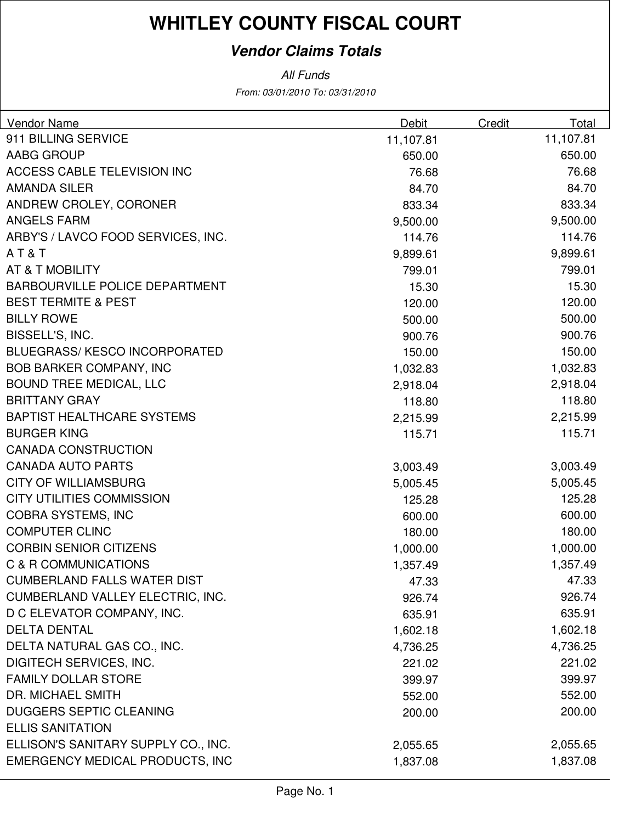### **Vendor Claims Totals**

From: 03/01/2010 To: 03/31/2010 All Funds

| Debit<br>Vendor Name                            | Credit<br>Total |
|-------------------------------------------------|-----------------|
| 911 BILLING SERVICE<br>11,107.81                | 11,107.81       |
| <b>AABG GROUP</b><br>650.00                     | 650.00          |
| <b>ACCESS CABLE TELEVISION INC</b><br>76.68     | 76.68           |
| <b>AMANDA SILER</b><br>84.70                    | 84.70           |
| ANDREW CROLEY, CORONER<br>833.34                | 833.34          |
| <b>ANGELS FARM</b><br>9,500.00                  | 9,500.00        |
| ARBY'S / LAVCO FOOD SERVICES, INC.<br>114.76    | 114.76          |
| AT&T<br>9,899.61                                | 9,899.61        |
| <b>AT &amp; T MOBILITY</b><br>799.01            | 799.01          |
| <b>BARBOURVILLE POLICE DEPARTMENT</b><br>15.30  | 15.30           |
| <b>BEST TERMITE &amp; PEST</b><br>120.00        | 120.00          |
| <b>BILLY ROWE</b><br>500.00                     | 500.00          |
| BISSELL'S, INC.<br>900.76                       | 900.76          |
| <b>BLUEGRASS/ KESCO INCORPORATED</b><br>150.00  | 150.00          |
| <b>BOB BARKER COMPANY, INC</b><br>1,032.83      | 1,032.83        |
| <b>BOUND TREE MEDICAL, LLC</b><br>2,918.04      | 2,918.04        |
| <b>BRITTANY GRAY</b><br>118.80                  | 118.80          |
| <b>BAPTIST HEALTHCARE SYSTEMS</b><br>2,215.99   | 2,215.99        |
| <b>BURGER KING</b><br>115.71                    | 115.71          |
| <b>CANADA CONSTRUCTION</b>                      |                 |
| <b>CANADA AUTO PARTS</b><br>3,003.49            | 3,003.49        |
| <b>CITY OF WILLIAMSBURG</b><br>5,005.45         | 5,005.45        |
| <b>CITY UTILITIES COMMISSION</b><br>125.28      | 125.28          |
| <b>COBRA SYSTEMS, INC</b><br>600.00             | 600.00          |
| <b>COMPUTER CLINC</b><br>180.00                 | 180.00          |
| <b>CORBIN SENIOR CITIZENS</b><br>1,000.00       | 1,000.00        |
| C & R COMMUNICATIONS<br>1,357.49                | 1,357.49        |
| <b>CUMBERLAND FALLS WATER DIST</b><br>47.33     | 47.33           |
| CUMBERLAND VALLEY ELECTRIC, INC.<br>926.74      | 926.74          |
| D C ELEVATOR COMPANY, INC.<br>635.91            | 635.91          |
| <b>DELTA DENTAL</b><br>1,602.18                 | 1,602.18        |
| DELTA NATURAL GAS CO., INC.<br>4,736.25         | 4,736.25        |
| <b>DIGITECH SERVICES, INC.</b><br>221.02        | 221.02          |
| <b>FAMILY DOLLAR STORE</b><br>399.97            | 399.97          |
| <b>DR. MICHAEL SMITH</b><br>552.00              | 552.00          |
| <b>DUGGERS SEPTIC CLEANING</b><br>200.00        | 200.00          |
| <b>ELLIS SANITATION</b>                         |                 |
| ELLISON'S SANITARY SUPPLY CO., INC.<br>2,055.65 | 2,055.65        |
| EMERGENCY MEDICAL PRODUCTS, INC<br>1,837.08     | 1,837.08        |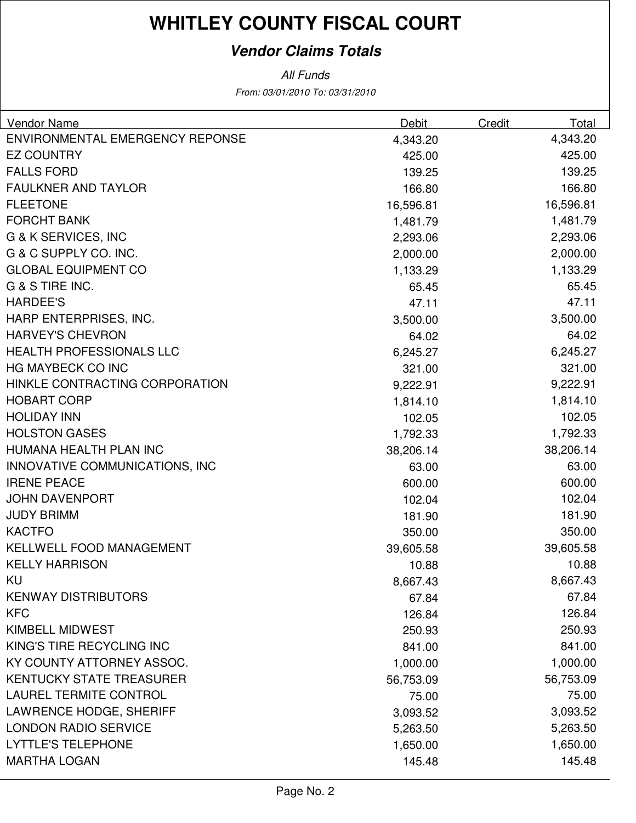### **Vendor Claims Totals**

All Funds

From: 03/01/2010 To: 03/31/2010

| Vendor Name                     | <b>Debit</b> | Credit | Total     |
|---------------------------------|--------------|--------|-----------|
| ENVIRONMENTAL EMERGENCY REPONSE | 4,343.20     |        | 4,343.20  |
| <b>EZ COUNTRY</b>               | 425.00       |        | 425.00    |
| <b>FALLS FORD</b>               | 139.25       |        | 139.25    |
| <b>FAULKNER AND TAYLOR</b>      | 166.80       |        | 166.80    |
| <b>FLEETONE</b>                 | 16,596.81    |        | 16,596.81 |
| <b>FORCHT BANK</b>              | 1,481.79     |        | 1,481.79  |
| <b>G &amp; K SERVICES, INC</b>  | 2,293.06     |        | 2,293.06  |
| G & C SUPPLY CO. INC.           | 2,000.00     |        | 2,000.00  |
| <b>GLOBAL EQUIPMENT CO</b>      | 1,133.29     |        | 1,133.29  |
| G & S TIRE INC.                 | 65.45        |        | 65.45     |
| <b>HARDEE'S</b>                 | 47.11        |        | 47.11     |
| HARP ENTERPRISES, INC.          | 3,500.00     |        | 3,500.00  |
| <b>HARVEY'S CHEVRON</b>         | 64.02        |        | 64.02     |
| <b>HEALTH PROFESSIONALS LLC</b> | 6,245.27     |        | 6,245.27  |
| HG MAYBECK CO INC               | 321.00       |        | 321.00    |
| HINKLE CONTRACTING CORPORATION  | 9,222.91     |        | 9,222.91  |
| <b>HOBART CORP</b>              | 1,814.10     |        | 1,814.10  |
| <b>HOLIDAY INN</b>              | 102.05       |        | 102.05    |
| <b>HOLSTON GASES</b>            | 1,792.33     |        | 1,792.33  |
| HUMANA HEALTH PLAN INC          | 38,206.14    |        | 38,206.14 |
| INNOVATIVE COMMUNICATIONS, INC  | 63.00        |        | 63.00     |
| <b>IRENE PEACE</b>              | 600.00       |        | 600.00    |
| <b>JOHN DAVENPORT</b>           | 102.04       |        | 102.04    |
| <b>JUDY BRIMM</b>               | 181.90       |        | 181.90    |
| <b>KACTFO</b>                   | 350.00       |        | 350.00    |
| <b>KELLWELL FOOD MANAGEMENT</b> | 39,605.58    |        | 39,605.58 |
| <b>KELLY HARRISON</b>           | 10.88        |        | 10.88     |
| <b>KU</b>                       | 8,667.43     |        | 8,667.43  |
| <b>KENWAY DISTRIBUTORS</b>      | 67.84        |        | 67.84     |
| <b>KFC</b>                      | 126.84       |        | 126.84    |
| <b>KIMBELL MIDWEST</b>          | 250.93       |        | 250.93    |
| KING'S TIRE RECYCLING INC       | 841.00       |        | 841.00    |
| KY COUNTY ATTORNEY ASSOC.       | 1,000.00     |        | 1,000.00  |
| <b>KENTUCKY STATE TREASURER</b> | 56,753.09    |        | 56,753.09 |
| <b>LAUREL TERMITE CONTROL</b>   | 75.00        |        | 75.00     |
| <b>LAWRENCE HODGE, SHERIFF</b>  | 3,093.52     |        | 3,093.52  |
| <b>LONDON RADIO SERVICE</b>     | 5,263.50     |        | 5,263.50  |
| <b>LYTTLE'S TELEPHONE</b>       | 1,650.00     |        | 1,650.00  |
| <b>MARTHA LOGAN</b>             | 145.48       |        | 145.48    |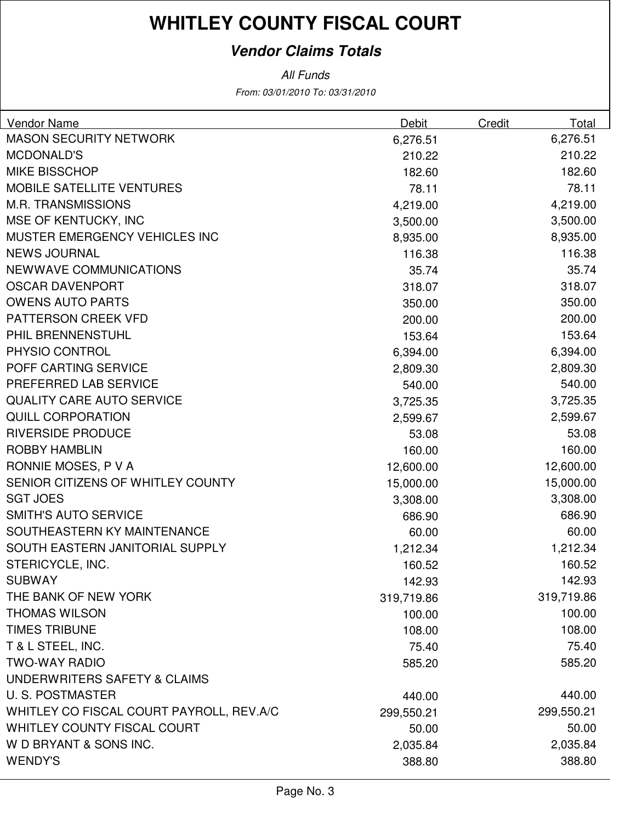### **Vendor Claims Totals**

From: 03/01/2010 To: 03/31/2010 All Funds

| Vendor Name                              | Debit      | Credit | Total      |
|------------------------------------------|------------|--------|------------|
| <b>MASON SECURITY NETWORK</b>            | 6,276.51   |        | 6,276.51   |
| <b>MCDONALD'S</b>                        | 210.22     |        | 210.22     |
| <b>MIKE BISSCHOP</b>                     | 182.60     |        | 182.60     |
| <b>MOBILE SATELLITE VENTURES</b>         | 78.11      |        | 78.11      |
| <b>M.R. TRANSMISSIONS</b>                | 4,219.00   |        | 4,219.00   |
| MSE OF KENTUCKY, INC                     | 3,500.00   |        | 3,500.00   |
| <b>MUSTER EMERGENCY VEHICLES INC</b>     | 8,935.00   |        | 8,935.00   |
| <b>NEWS JOURNAL</b>                      | 116.38     |        | 116.38     |
| NEWWAVE COMMUNICATIONS                   | 35.74      |        | 35.74      |
| <b>OSCAR DAVENPORT</b>                   | 318.07     |        | 318.07     |
| <b>OWENS AUTO PARTS</b>                  | 350.00     |        | 350.00     |
| PATTERSON CREEK VFD                      | 200.00     |        | 200.00     |
| PHIL BRENNENSTUHL                        | 153.64     |        | 153.64     |
| PHYSIO CONTROL                           | 6,394.00   |        | 6,394.00   |
| POFF CARTING SERVICE                     | 2,809.30   |        | 2,809.30   |
| PREFERRED LAB SERVICE                    | 540.00     |        | 540.00     |
| <b>QUALITY CARE AUTO SERVICE</b>         | 3,725.35   |        | 3,725.35   |
| <b>QUILL CORPORATION</b>                 | 2,599.67   |        | 2,599.67   |
| <b>RIVERSIDE PRODUCE</b>                 | 53.08      |        | 53.08      |
| <b>ROBBY HAMBLIN</b>                     | 160.00     |        | 160.00     |
| RONNIE MOSES, P V A                      | 12,600.00  |        | 12,600.00  |
| SENIOR CITIZENS OF WHITLEY COUNTY        | 15,000.00  |        | 15,000.00  |
| <b>SGT JOES</b>                          | 3,308.00   |        | 3,308.00   |
| <b>SMITH'S AUTO SERVICE</b>              | 686.90     |        | 686.90     |
| SOUTHEASTERN KY MAINTENANCE              | 60.00      |        | 60.00      |
| SOUTH EASTERN JANITORIAL SUPPLY          | 1,212.34   |        | 1,212.34   |
| STERICYCLE, INC.                         | 160.52     |        | 160.52     |
| <b>SUBWAY</b>                            | 142.93     |        | 142.93     |
| THE BANK OF NEW YORK                     | 319,719.86 |        | 319,719.86 |
| <b>THOMAS WILSON</b>                     | 100.00     |        | 100.00     |
| <b>TIMES TRIBUNE</b>                     | 108.00     |        | 108.00     |
| T & L STEEL, INC.                        | 75.40      |        | 75.40      |
| <b>TWO-WAY RADIO</b>                     | 585.20     |        | 585.20     |
| UNDERWRITERS SAFETY & CLAIMS             |            |        |            |
| <b>U.S. POSTMASTER</b>                   | 440.00     |        | 440.00     |
| WHITLEY CO FISCAL COURT PAYROLL, REV.A/C | 299,550.21 |        | 299,550.21 |
| WHITLEY COUNTY FISCAL COURT              | 50.00      |        | 50.00      |
| W D BRYANT & SONS INC.                   | 2,035.84   |        | 2,035.84   |
| <b>WENDY'S</b>                           | 388.80     |        | 388.80     |